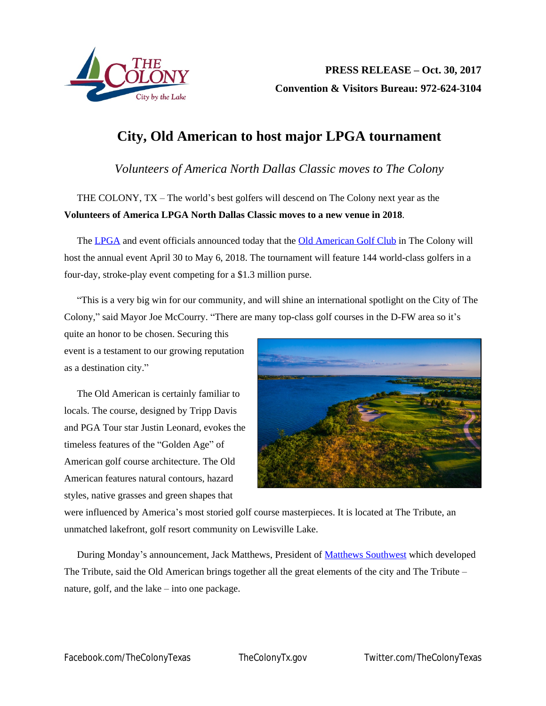

## **City, Old American to host major LPGA tournament**

*Volunteers of America North Dallas Classic moves to The Colony*

THE COLONY, TX – The world's best golfers will descend on The Colony next year as the **Volunteers of America LPGA North Dallas Classic moves to a new venue in 2018**.

The [LPGA](http://www.lpga.com/) and event officials announced today that the [Old American Golf Club](http://www.theoldamericangolfclub.com/) in The Colony will host the annual event April 30 to May 6, 2018. The tournament will feature 144 world-class golfers in a four-day, stroke-play event competing for a \$1.3 million purse.

"This is a very big win for our community, and will shine an international spotlight on the City of The Colony," said Mayor Joe McCourry. "There are many top-class golf courses in the D-FW area so it's

quite an honor to be chosen. Securing this event is a testament to our growing reputation as a destination city."

The Old American is certainly familiar to locals. The course, designed by Tripp Davis and PGA Tour star Justin Leonard, evokes the timeless features of the "Golden Age" of American golf course architecture. The Old American features natural contours, hazard styles, native grasses and green shapes that



were influenced by America's most storied golf course masterpieces. It is located at The Tribute, an unmatched lakefront, golf resort community on Lewisville Lake.

During Monday's announcement, Jack Matthews, President of [Matthews Southwest](http://www.matthewssouthwest.com/) which developed The Tribute, said the Old American brings together all the great elements of the city and The Tribute – nature, golf, and the lake – into one package.